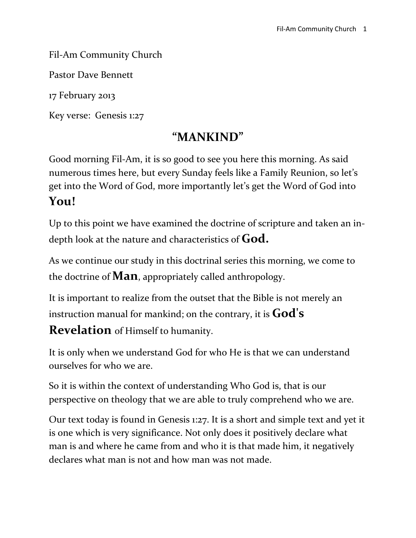#### Fil-Am Community Church

Pastor Dave Bennett

17 February 2013

Key verse: Genesis 1:27

## **"MANKIND"**

Good morning Fil-Am, it is so good to see you here this morning. As said numerous times here, but every Sunday feels like a Family Reunion, so let's get into the Word of God, more importantly let's get the Word of God into **You!**

Up to this point we have examined the doctrine of scripture and taken an indepth look at the nature and characteristics of **God.**

As we continue our study in this doctrinal series this morning, we come to the doctrine of **Man**, appropriately called anthropology.

It is important to realize from the outset that the Bible is not merely an instruction manual for mankind; on the contrary, it is **God's** 

**Revelation** of Himself to humanity.

It is only when we understand God for who He is that we can understand ourselves for who we are.

So it is within the context of understanding Who God is, that is our perspective on theology that we are able to truly comprehend who we are.

Our text today is found in Genesis 1:27. It is a short and simple text and yet it is one which is very significance. Not only does it positively declare what man is and where he came from and who it is that made him, it negatively declares what man is not and how man was not made.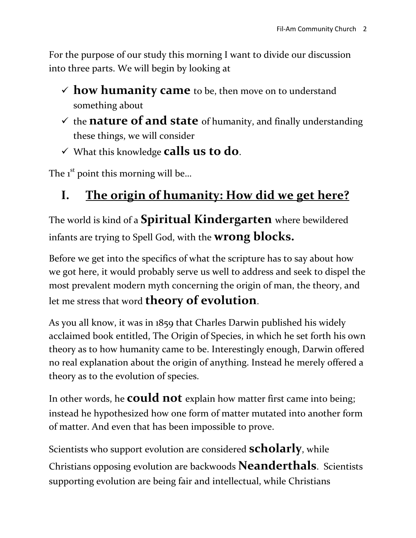For the purpose of our study this morning I want to divide our discussion into three parts. We will begin by looking at

- $\checkmark$  how humanity came to be, then move on to understand something about
- $\checkmark$  the **nature of and state** of humanity, and finally understanding these things, we will consider
- What this knowledge **calls us to do**.

The  $1<sup>st</sup>$  point this morning will be...

# **I. The origin of humanity: How did we get here?**

The world is kind of a **Spiritual Kindergarten** where bewildered infants are trying to Spell God, with the **wrong blocks.**

Before we get into the specifics of what the scripture has to say about how we got here, it would probably serve us well to address and seek to dispel the most prevalent modern myth concerning the origin of man, the theory, and let me stress that word **theory of evolution**.

As you all know, it was in 1859 that Charles Darwin published his widely acclaimed book entitled, The Origin of Species, in which he set forth his own theory as to how humanity came to be. Interestingly enough, Darwin offered no real explanation about the origin of anything. Instead he merely offered a theory as to the evolution of species.

In other words, he **could not** explain how matter first came into being; instead he hypothesized how one form of matter mutated into another form of matter. And even that has been impossible to prove.

Scientists who support evolution are considered **scholarly**, while Christians opposing evolution are backwoods **Neanderthals**. Scientists supporting evolution are being fair and intellectual, while Christians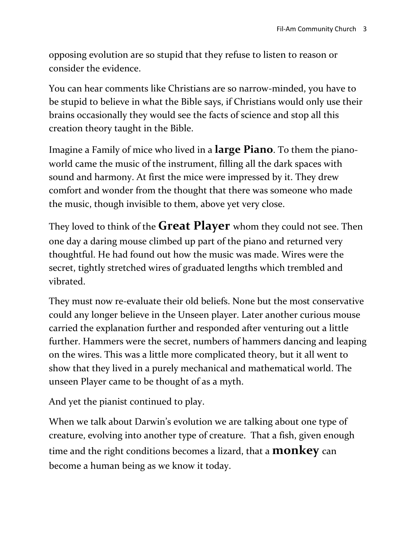opposing evolution are so stupid that they refuse to listen to reason or consider the evidence.

You can hear comments like Christians are so narrow-minded, you have to be stupid to believe in what the Bible says, if Christians would only use their brains occasionally they would see the facts of science and stop all this creation theory taught in the Bible.

Imagine a Family of mice who lived in a **large Piano**. To them the pianoworld came the music of the instrument, filling all the dark spaces with sound and harmony. At first the mice were impressed by it. They drew comfort and wonder from the thought that there was someone who made the music, though invisible to them, above yet very close.

They loved to think of the **Great Player** whom they could not see. Then one day a daring mouse climbed up part of the piano and returned very thoughtful. He had found out how the music was made. Wires were the secret, tightly stretched wires of graduated lengths which trembled and vibrated.

They must now re-evaluate their old beliefs. None but the most conservative could any longer believe in the Unseen player. Later another curious mouse carried the explanation further and responded after venturing out a little further. Hammers were the secret, numbers of hammers dancing and leaping on the wires. This was a little more complicated theory, but it all went to show that they lived in a purely mechanical and mathematical world. The unseen Player came to be thought of as a myth.

And yet the pianist continued to play.

When we talk about Darwin's evolution we are talking about one type of creature, evolving into another type of creature. That a fish, given enough time and the right conditions becomes a lizard, that a **monkey** can become a human being as we know it today.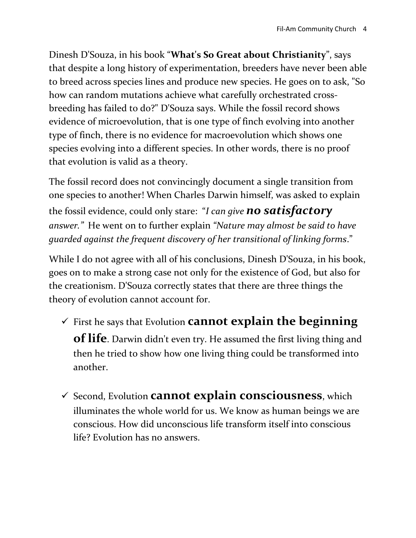Dinesh D'Souza, in his book "**What's So Great about Christianity**", says that despite a long history of experimentation, breeders have never been able to breed across species lines and produce new species. He goes on to ask, "So how can random mutations achieve what carefully orchestrated crossbreeding has failed to do?" D'Souza says. While the fossil record shows evidence of microevolution, that is one type of finch evolving into another type of finch, there is no evidence for macroevolution which shows one species evolving into a different species. In other words, there is no proof that evolution is valid as a theory.

The fossil record does not convincingly document a single transition from one species to another! When Charles Darwin himself, was asked to explain the fossil evidence, could only stare: "*I can give no satisfactory answer."* He went on to further explain *"Nature may almost be said to have guarded against the frequent discovery of her transitional of linking forms*."

While I do not agree with all of his conclusions, Dinesh D'Souza, in his book, goes on to make a strong case not only for the existence of God, but also for the creationism. D'Souza correctly states that there are three things the theory of evolution cannot account for.

 First he says that Evolution **cannot explain the beginning of life**. Darwin didn't even try. He assumed the first living thing and then he tried to show how one living thing could be transformed into

another.

 Second, Evolution **cannot explain consciousness**, which illuminates the whole world for us. We know as human beings we are conscious. How did unconscious life transform itself into conscious life? Evolution has no answers.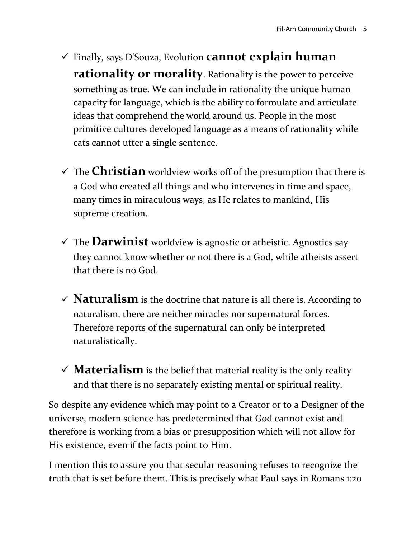- Finally, says D'Souza, Evolution **cannot explain human rationality or morality**. Rationality is the power to perceive something as true. We can include in rationality the unique human capacity for language, which is the ability to formulate and articulate ideas that comprehend the world around us. People in the most primitive cultures developed language as a means of rationality while cats cannot utter a single sentence.
- $\checkmark$  The **Christian** worldview works off of the presumption that there is a God who created all things and who intervenes in time and space, many times in miraculous ways, as He relates to mankind, His supreme creation.
- $\checkmark$  The **Darwinist** worldview is agnostic or atheistic. Agnostics say they cannot know whether or not there is a God, while atheists assert that there is no God.
- $\checkmark$  **Naturalism** is the doctrine that nature is all there is. According to naturalism, there are neither miracles nor supernatural forces. Therefore reports of the supernatural can only be interpreted naturalistically.
- $\checkmark$  **Materialism** is the belief that material reality is the only reality and that there is no separately existing mental or spiritual reality.

So despite any evidence which may point to a Creator or to a Designer of the universe, modern science has predetermined that God cannot exist and therefore is working from a bias or presupposition which will not allow for His existence, even if the facts point to Him.

I mention this to assure you that secular reasoning refuses to recognize the truth that is set before them. This is precisely what Paul says in Romans 1:20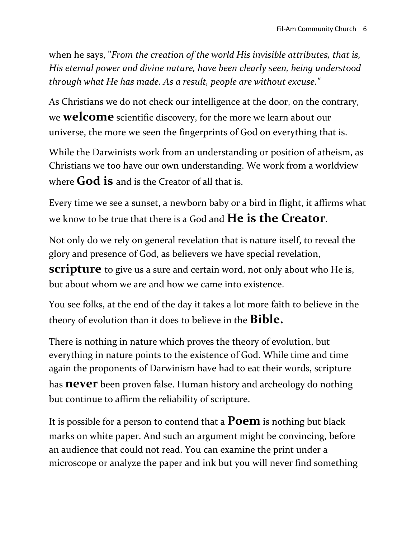when he says, "*From the creation of the world His invisible attributes, that is, His eternal power and divine nature, have been clearly seen, being understood through what He has made. As a result, people are without excuse."*

As Christians we do not check our intelligence at the door, on the contrary, we **welcome** scientific discovery, for the more we learn about our universe, the more we seen the fingerprints of God on everything that is.

While the Darwinists work from an understanding or position of atheism, as Christians we too have our own understanding. We work from a worldview where **God is** and is the Creator of all that is.

Every time we see a sunset, a newborn baby or a bird in flight, it affirms what we know to be true that there is a God and **He is the Creator**.

Not only do we rely on general revelation that is nature itself, to reveal the glory and presence of God, as believers we have special revelation,

**scripture** to give us a sure and certain word, not only about who He is, but about whom we are and how we came into existence.

You see folks, at the end of the day it takes a lot more faith to believe in the theory of evolution than it does to believe in the **Bible.** 

There is nothing in nature which proves the theory of evolution, but everything in nature points to the existence of God. While time and time again the proponents of Darwinism have had to eat their words, scripture has **never** been proven false. Human history and archeology do nothing but continue to affirm the reliability of scripture.

It is possible for a person to contend that a **Poem** is nothing but black marks on white paper. And such an argument might be convincing, before an audience that could not read. You can examine the print under a microscope or analyze the paper and ink but you will never find something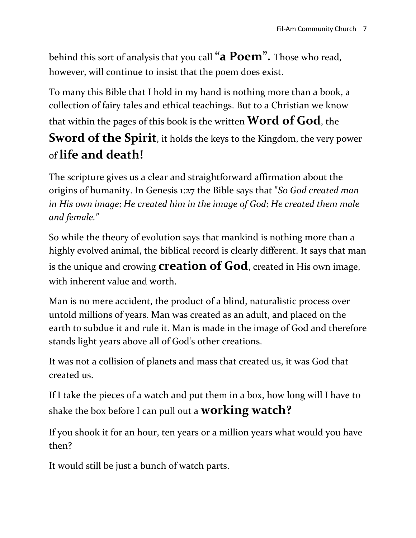behind this sort of analysis that you call **"a Poem".** Those who read, however, will continue to insist that the poem does exist.

To many this Bible that I hold in my hand is nothing more than a book, a collection of fairy tales and ethical teachings. But to a Christian we know that within the pages of this book is the written **Word of God**, the **Sword of the Spirit**, it holds the keys to the Kingdom, the very power of **life and death!**

The scripture gives us a clear and straightforward affirmation about the origins of humanity. In Genesis 1:27 the Bible says that "*So God created man in His own image; He created him in the image of God; He created them male and female."*

So while the theory of evolution says that mankind is nothing more than a highly evolved animal, the biblical record is clearly different. It says that man is the unique and crowing **creation of God**, created in His own image, with inherent value and worth.

Man is no mere accident, the product of a blind, naturalistic process over untold millions of years. Man was created as an adult, and placed on the earth to subdue it and rule it. Man is made in the image of God and therefore stands light years above all of God's other creations.

It was not a collision of planets and mass that created us, it was God that created us.

If I take the pieces of a watch and put them in a box, how long will I have to shake the box before I can pull out a **working watch?**

If you shook it for an hour, ten years or a million years what would you have then?

It would still be just a bunch of watch parts.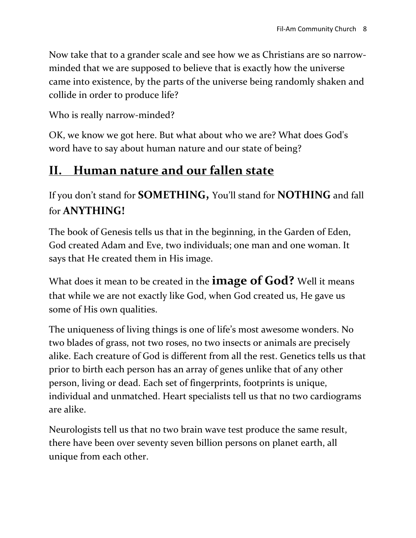Now take that to a grander scale and see how we as Christians are so narrowminded that we are supposed to believe that is exactly how the universe came into existence, by the parts of the universe being randomly shaken and collide in order to produce life?

Who is really narrow-minded?

OK, we know we got here. But what about who we are? What does God's word have to say about human nature and our state of being?

### **II. Human nature and our fallen state**

If you don't stand for **SOMETHING,** You'll stand for **NOTHING** and fall for **ANYTHING!**

The book of Genesis tells us that in the beginning, in the Garden of Eden, God created Adam and Eve, two individuals; one man and one woman. It says that He created them in His image.

What does it mean to be created in the **image of God?** Well it means that while we are not exactly like God, when God created us, He gave us some of His own qualities.

The uniqueness of living things is one of life's most awesome wonders. No two blades of grass, not two roses, no two insects or animals are precisely alike. Each creature of God is different from all the rest. Genetics tells us that prior to birth each person has an array of genes unlike that of any other person, living or dead. Each set of fingerprints, footprints is unique, individual and unmatched. Heart specialists tell us that no two cardiograms are alike.

Neurologists tell us that no two brain wave test produce the same result, there have been over seventy seven billion persons on planet earth, all unique from each other.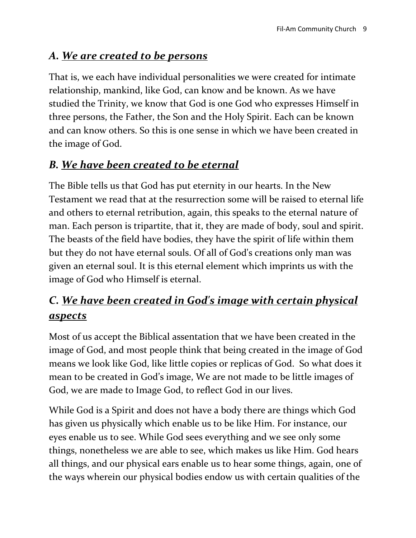#### *A. We are created to be persons*

That is, we each have individual personalities we were created for intimate relationship, mankind, like God, can know and be known. As we have studied the Trinity, we know that God is one God who expresses Himself in three persons, the Father, the Son and the Holy Spirit. Each can be known and can know others. So this is one sense in which we have been created in the image of God.

#### *B. We have been created to be eternal*

The Bible tells us that God has put eternity in our hearts. In the New Testament we read that at the resurrection some will be raised to eternal life and others to eternal retribution, again, this speaks to the eternal nature of man. Each person is tripartite, that it, they are made of body, soul and spirit. The beasts of the field have bodies, they have the spirit of life within them but they do not have eternal souls. Of all of God's creations only man was given an eternal soul. It is this eternal element which imprints us with the image of God who Himself is eternal.

### *C. We have been created in God's image with certain physical aspects*

Most of us accept the Biblical assentation that we have been created in the image of God, and most people think that being created in the image of God means we look like God, like little copies or replicas of God. So what does it mean to be created in God's image, We are not made to be little images of God, we are made to Image God, to reflect God in our lives.

While God is a Spirit and does not have a body there are things which God has given us physically which enable us to be like Him. For instance, our eyes enable us to see. While God sees everything and we see only some things, nonetheless we are able to see, which makes us like Him. God hears all things, and our physical ears enable us to hear some things, again, one of the ways wherein our physical bodies endow us with certain qualities of the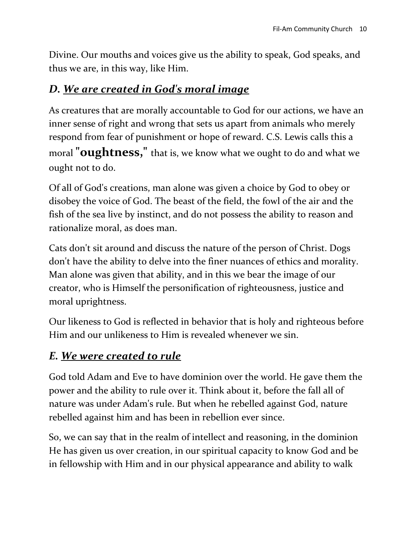Divine. Our mouths and voices give us the ability to speak, God speaks, and thus we are, in this way, like Him.

#### *D. We are created in God's moral image*

As creatures that are morally accountable to God for our actions, we have an inner sense of right and wrong that sets us apart from animals who merely respond from fear of punishment or hope of reward. C.S. Lewis calls this a moral **"oughtness,"** that is, we know what we ought to do and what we ought not to do.

Of all of God's creations, man alone was given a choice by God to obey or disobey the voice of God. The beast of the field, the fowl of the air and the fish of the sea live by instinct, and do not possess the ability to reason and rationalize moral, as does man.

Cats don't sit around and discuss the nature of the person of Christ. Dogs don't have the ability to delve into the finer nuances of ethics and morality. Man alone was given that ability, and in this we bear the image of our creator, who is Himself the personification of righteousness, justice and moral uprightness.

Our likeness to God is reflected in behavior that is holy and righteous before Him and our unlikeness to Him is revealed whenever we sin.

#### *E. We were created to rule*

God told Adam and Eve to have dominion over the world. He gave them the power and the ability to rule over it. Think about it, before the fall all of nature was under Adam's rule. But when he rebelled against God, nature rebelled against him and has been in rebellion ever since.

So, we can say that in the realm of intellect and reasoning, in the dominion He has given us over creation, in our spiritual capacity to know God and be in fellowship with Him and in our physical appearance and ability to walk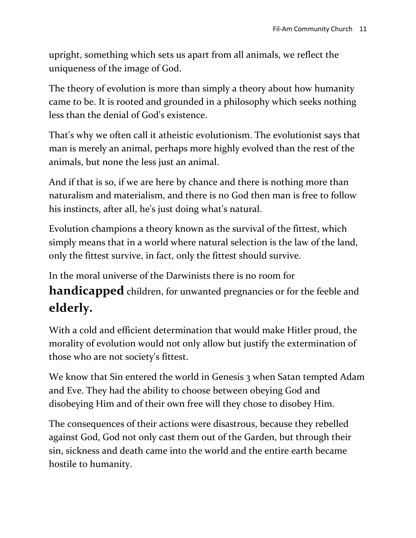upright, something which sets us apart from all animals, we reflect the uniqueness of the image of God.

The theory of evolution is more than simply a theory about how humanity came to be. It is rooted and grounded in a philosophy which seeks nothing less than the denial of God's existence.

That's why we often call it atheistic evolutionism. The evolutionist says that man is merely an animal, perhaps more highly evolved than the rest of the animals, but none the less just an animal.

And if that is so, if we are here by chance and there is nothing more than naturalism and materialism, and there is no God then man is free to follow his instincts, after all, he's just doing what's natural.

Evolution champions a theory known as the survival of the fittest, which simply means that in a world where natural selection is the law of the land, only the fittest survive, in fact, only the fittest should survive.

In the moral universe of the Darwinists there is no room for

**handicapped** children, for unwanted pregnancies or for the feeble and **elderly.**

With a cold and efficient determination that would make Hitler proud, the morality of evolution would not only allow but justify the extermination of those who are not society's fittest.

We know that Sin entered the world in Genesis 3 when Satan tempted Adam and Eve. They had the ability to choose between obeying God and disobeying Him and of their own free will they chose to disobey Him.

The consequences of their actions were disastrous, because they rebelled against God, God not only cast them out of the Garden, but through their sin, sickness and death came into the world and the entire earth became hostile to humanity.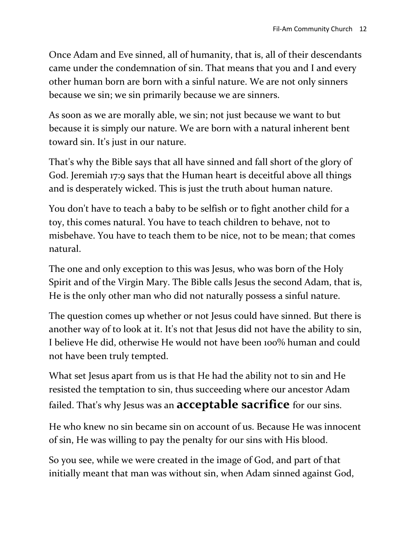Once Adam and Eve sinned, all of humanity, that is, all of their descendants came under the condemnation of sin. That means that you and I and every other human born are born with a sinful nature. We are not only sinners because we sin; we sin primarily because we are sinners.

As soon as we are morally able, we sin; not just because we want to but because it is simply our nature. We are born with a natural inherent bent toward sin. It's just in our nature.

That's why the Bible says that all have sinned and fall short of the glory of God. Jeremiah 17:9 says that the Human heart is deceitful above all things and is desperately wicked. This is just the truth about human nature.

You don't have to teach a baby to be selfish or to fight another child for a toy, this comes natural. You have to teach children to behave, not to misbehave. You have to teach them to be nice, not to be mean; that comes natural.

The one and only exception to this was Jesus, who was born of the Holy Spirit and of the Virgin Mary. The Bible calls Jesus the second Adam, that is, He is the only other man who did not naturally possess a sinful nature.

The question comes up whether or not Jesus could have sinned. But there is another way of to look at it. It's not that Jesus did not have the ability to sin, I believe He did, otherwise He would not have been 100% human and could not have been truly tempted.

What set Jesus apart from us is that He had the ability not to sin and He resisted the temptation to sin, thus succeeding where our ancestor Adam failed. That's why Jesus was an **acceptable sacrifice** for our sins.

He who knew no sin became sin on account of us. Because He was innocent of sin, He was willing to pay the penalty for our sins with His blood.

So you see, while we were created in the image of God, and part of that initially meant that man was without sin, when Adam sinned against God,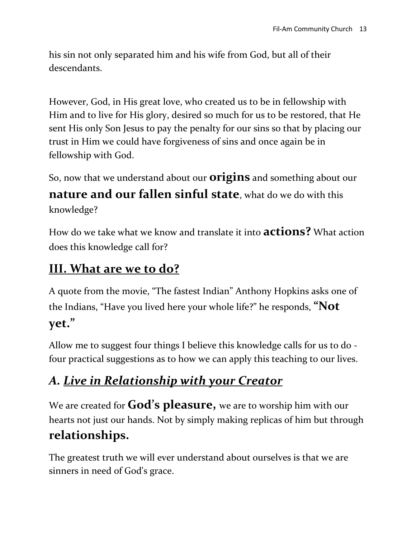his sin not only separated him and his wife from God, but all of their descendants.

However, God, in His great love, who created us to be in fellowship with Him and to live for His glory, desired so much for us to be restored, that He sent His only Son Jesus to pay the penalty for our sins so that by placing our trust in Him we could have forgiveness of sins and once again be in fellowship with God.

So, now that we understand about our **origins** and something about our

**nature and our fallen sinful state**, what do we do with this knowledge?

How do we take what we know and translate it into **actions?** What action does this knowledge call for?

#### **III. What are we to do?**

A quote from the movie, "The fastest Indian" Anthony Hopkins asks one of the Indians, "Have you lived here your whole life?" he responds, **"Not yet."**

Allow me to suggest four things I believe this knowledge calls for us to do four practical suggestions as to how we can apply this teaching to our lives.

## *A. Live in Relationship with your Creator*

We are created for **God's pleasure,** we are to worship him with our hearts not just our hands. Not by simply making replicas of him but through **relationships.**

The greatest truth we will ever understand about ourselves is that we are sinners in need of God's grace.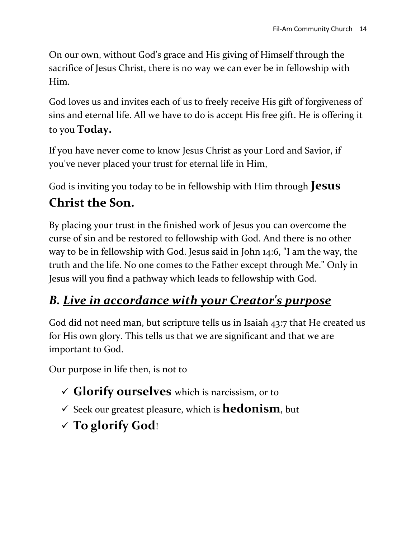On our own, without God's grace and His giving of Himself through the sacrifice of Jesus Christ, there is no way we can ever be in fellowship with Him.

God loves us and invites each of us to freely receive His gift of forgiveness of sins and eternal life. All we have to do is accept His free gift. He is offering it to you **Today.**

If you have never come to know Jesus Christ as your Lord and Savior, if you've never placed your trust for eternal life in Him,

God is inviting you today to be in fellowship with Him through **Jesus** 

## **Christ the Son.**

By placing your trust in the finished work of Jesus you can overcome the curse of sin and be restored to fellowship with God. And there is no other way to be in fellowship with God. Jesus said in John 14:6, "I am the way, the truth and the life. No one comes to the Father except through Me." Only in Jesus will you find a pathway which leads to fellowship with God.

# *B. Live in accordance with your Creator's purpose*

God did not need man, but scripture tells us in Isaiah 43:7 that He created us for His own glory. This tells us that we are significant and that we are important to God.

Our purpose in life then, is not to

- **Glorify ourselves** which is narcissism, or to
- $\checkmark$  Seek our greatest pleasure, which is **hedonism**, but
- **To glorify God**!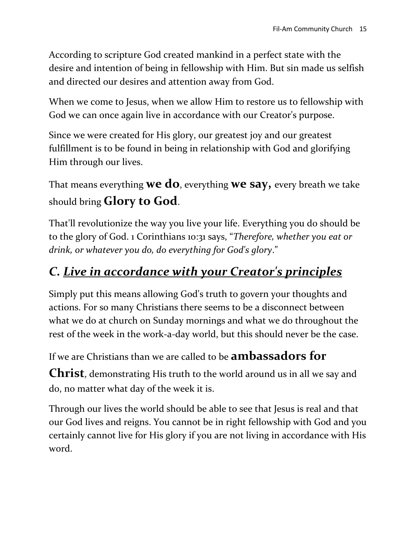According to scripture God created mankind in a perfect state with the desire and intention of being in fellowship with Him. But sin made us selfish and directed our desires and attention away from God.

When we come to Jesus, when we allow Him to restore us to fellowship with God we can once again live in accordance with our Creator's purpose.

Since we were created for His glory, our greatest joy and our greatest fulfillment is to be found in being in relationship with God and glorifying Him through our lives.

That means everything **we do**, everything **we say,** every breath we take should bring **Glory to God**.

That'll revolutionize the way you live your life. Everything you do should be to the glory of God. 1 Corinthians 10:31 says, "*Therefore, whether you eat or drink, or whatever you do, do everything for God's glory*."

### *C. Live in accordance with your Creator's principles*

Simply put this means allowing God's truth to govern your thoughts and actions. For so many Christians there seems to be a disconnect between what we do at church on Sunday mornings and what we do throughout the rest of the week in the work-a-day world, but this should never be the case.

If we are Christians than we are called to be **ambassadors for** 

**Christ**, demonstrating His truth to the world around us in all we say and do, no matter what day of the week it is.

Through our lives the world should be able to see that Jesus is real and that our God lives and reigns. You cannot be in right fellowship with God and you certainly cannot live for His glory if you are not living in accordance with His word.